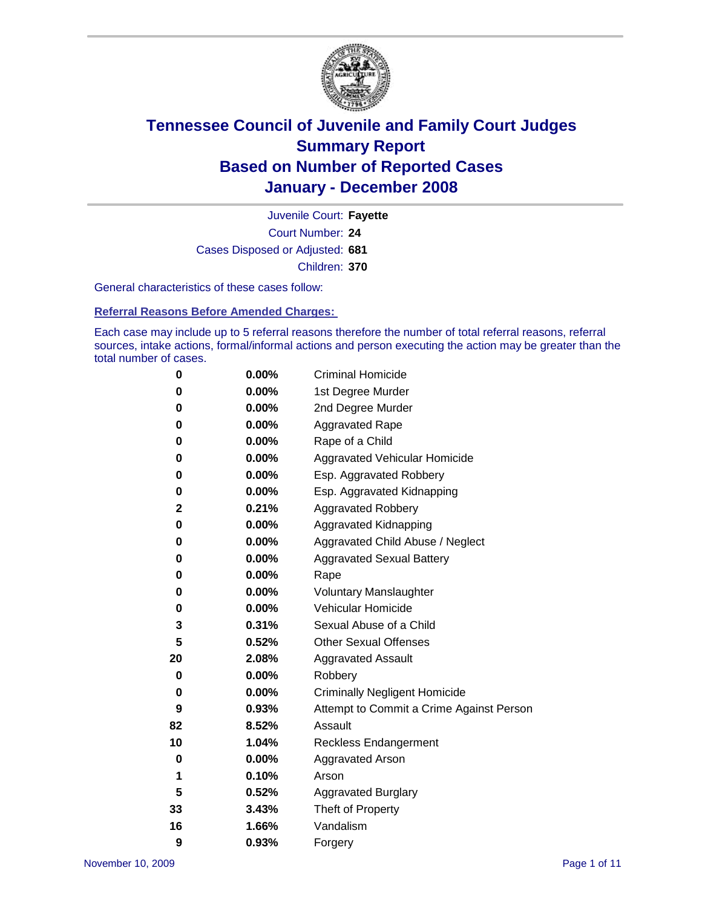

Court Number: **24** Juvenile Court: **Fayette** Cases Disposed or Adjusted: **681** Children: **370**

General characteristics of these cases follow:

**Referral Reasons Before Amended Charges:** 

Each case may include up to 5 referral reasons therefore the number of total referral reasons, referral sources, intake actions, formal/informal actions and person executing the action may be greater than the total number of cases.

| 0  | 0.00%    | <b>Criminal Homicide</b>                 |
|----|----------|------------------------------------------|
| 0  | 0.00%    | 1st Degree Murder                        |
| 0  | $0.00\%$ | 2nd Degree Murder                        |
| 0  | 0.00%    | <b>Aggravated Rape</b>                   |
| 0  | 0.00%    | Rape of a Child                          |
| 0  | 0.00%    | Aggravated Vehicular Homicide            |
| 0  | 0.00%    | Esp. Aggravated Robbery                  |
| 0  | 0.00%    | Esp. Aggravated Kidnapping               |
| 2  | 0.21%    | <b>Aggravated Robbery</b>                |
| 0  | $0.00\%$ | Aggravated Kidnapping                    |
| 0  | 0.00%    | Aggravated Child Abuse / Neglect         |
| 0  | $0.00\%$ | <b>Aggravated Sexual Battery</b>         |
| 0  | 0.00%    | Rape                                     |
| 0  | 0.00%    | <b>Voluntary Manslaughter</b>            |
| 0  | 0.00%    | Vehicular Homicide                       |
| 3  | 0.31%    | Sexual Abuse of a Child                  |
| 5  | 0.52%    | <b>Other Sexual Offenses</b>             |
| 20 | 2.08%    | <b>Aggravated Assault</b>                |
| 0  | $0.00\%$ | Robbery                                  |
| 0  | 0.00%    | <b>Criminally Negligent Homicide</b>     |
| 9  | 0.93%    | Attempt to Commit a Crime Against Person |
| 82 | 8.52%    | Assault                                  |
| 10 | 1.04%    | <b>Reckless Endangerment</b>             |
| 0  | 0.00%    | <b>Aggravated Arson</b>                  |
| 1  | 0.10%    | Arson                                    |
| 5  | 0.52%    | <b>Aggravated Burglary</b>               |
| 33 | 3.43%    | Theft of Property                        |
| 16 | 1.66%    | Vandalism                                |
| 9  | 0.93%    | Forgery                                  |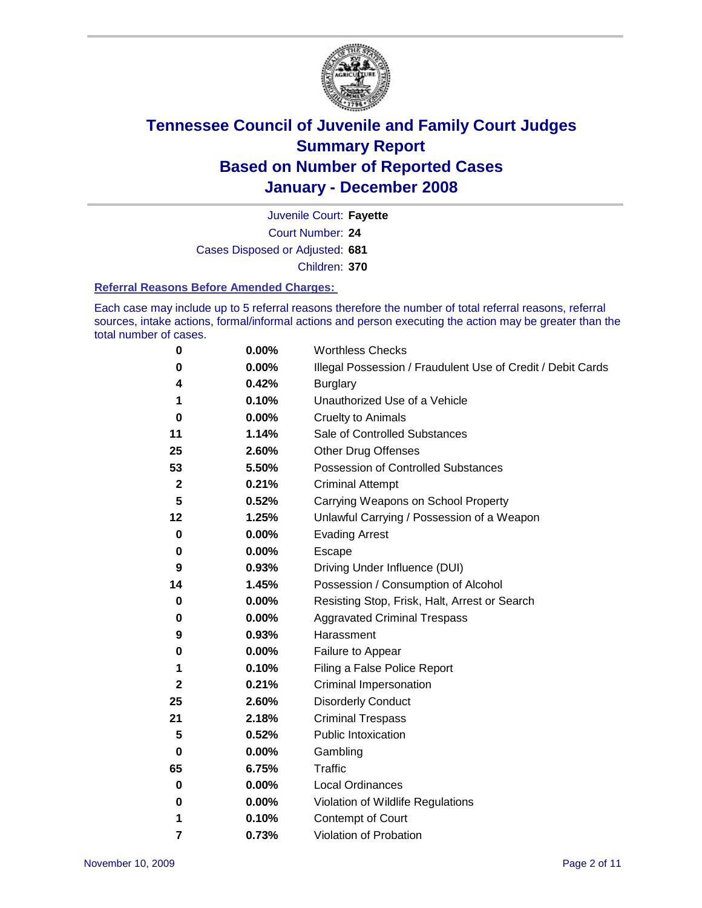

Court Number: **24** Juvenile Court: **Fayette** Cases Disposed or Adjusted: **681** Children: **370**

#### **Referral Reasons Before Amended Charges:**

Each case may include up to 5 referral reasons therefore the number of total referral reasons, referral sources, intake actions, formal/informal actions and person executing the action may be greater than the total number of cases.

| 0            | 0.00% | <b>Worthless Checks</b>                                     |
|--------------|-------|-------------------------------------------------------------|
| 0            | 0.00% | Illegal Possession / Fraudulent Use of Credit / Debit Cards |
| 4            | 0.42% | <b>Burglary</b>                                             |
| 1            | 0.10% | Unauthorized Use of a Vehicle                               |
| 0            | 0.00% | <b>Cruelty to Animals</b>                                   |
| 11           | 1.14% | Sale of Controlled Substances                               |
| 25           | 2.60% | <b>Other Drug Offenses</b>                                  |
| 53           | 5.50% | <b>Possession of Controlled Substances</b>                  |
| $\mathbf 2$  | 0.21% | <b>Criminal Attempt</b>                                     |
| 5            | 0.52% | Carrying Weapons on School Property                         |
| 12           | 1.25% | Unlawful Carrying / Possession of a Weapon                  |
| $\bf{0}$     | 0.00% | <b>Evading Arrest</b>                                       |
| 0            | 0.00% | Escape                                                      |
| 9            | 0.93% | Driving Under Influence (DUI)                               |
| 14           | 1.45% | Possession / Consumption of Alcohol                         |
| 0            | 0.00% | Resisting Stop, Frisk, Halt, Arrest or Search               |
| 0            | 0.00% | <b>Aggravated Criminal Trespass</b>                         |
| 9            | 0.93% | Harassment                                                  |
| 0            | 0.00% | Failure to Appear                                           |
| 1            | 0.10% | Filing a False Police Report                                |
| $\mathbf{2}$ | 0.21% | Criminal Impersonation                                      |
| 25           | 2.60% | <b>Disorderly Conduct</b>                                   |
| 21           | 2.18% | <b>Criminal Trespass</b>                                    |
| 5            | 0.52% | Public Intoxication                                         |
| $\bf{0}$     | 0.00% | Gambling                                                    |
| 65           | 6.75% | <b>Traffic</b>                                              |
| 0            | 0.00% | Local Ordinances                                            |
| 0            | 0.00% | Violation of Wildlife Regulations                           |
| 1            | 0.10% | Contempt of Court                                           |
| 7            | 0.73% | Violation of Probation                                      |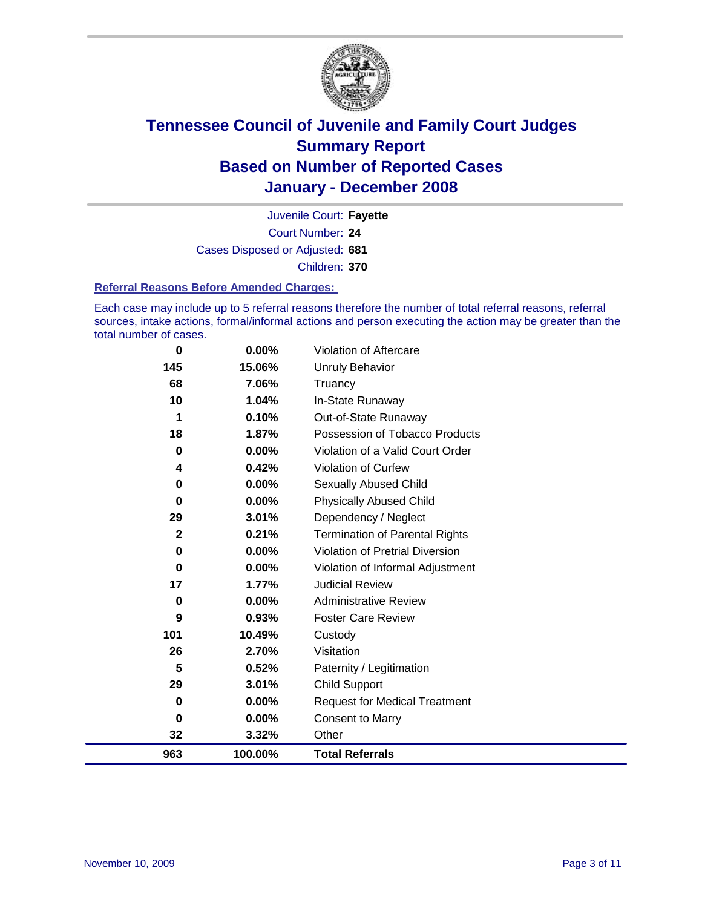

Court Number: **24** Juvenile Court: **Fayette** Cases Disposed or Adjusted: **681** Children: **370**

#### **Referral Reasons Before Amended Charges:**

Each case may include up to 5 referral reasons therefore the number of total referral reasons, referral sources, intake actions, formal/informal actions and person executing the action may be greater than the total number of cases.

| 0            | 0.00%   | Violation of Aftercare                 |
|--------------|---------|----------------------------------------|
| 145          | 15.06%  | Unruly Behavior                        |
| 68           | 7.06%   | Truancy                                |
| 10           | 1.04%   | In-State Runaway                       |
| 1            | 0.10%   | Out-of-State Runaway                   |
| 18           | 1.87%   | Possession of Tobacco Products         |
| 0            | 0.00%   | Violation of a Valid Court Order       |
| 4            | 0.42%   | Violation of Curfew                    |
| 0            | 0.00%   | Sexually Abused Child                  |
| 0            | 0.00%   | <b>Physically Abused Child</b>         |
| 29           | 3.01%   | Dependency / Neglect                   |
| $\mathbf{2}$ | 0.21%   | <b>Termination of Parental Rights</b>  |
| 0            | 0.00%   | <b>Violation of Pretrial Diversion</b> |
| 0            | 0.00%   | Violation of Informal Adjustment       |
| 17           | 1.77%   | <b>Judicial Review</b>                 |
| 0            | 0.00%   | <b>Administrative Review</b>           |
| 9            | 0.93%   | <b>Foster Care Review</b>              |
| 101          | 10.49%  | Custody                                |
| 26           | 2.70%   | Visitation                             |
| 5            | 0.52%   | Paternity / Legitimation               |
| 29           | 3.01%   | <b>Child Support</b>                   |
| 0            | 0.00%   | <b>Request for Medical Treatment</b>   |
| 0            | 0.00%   | <b>Consent to Marry</b>                |
| 32           | 3.32%   | Other                                  |
| 963          | 100.00% | <b>Total Referrals</b>                 |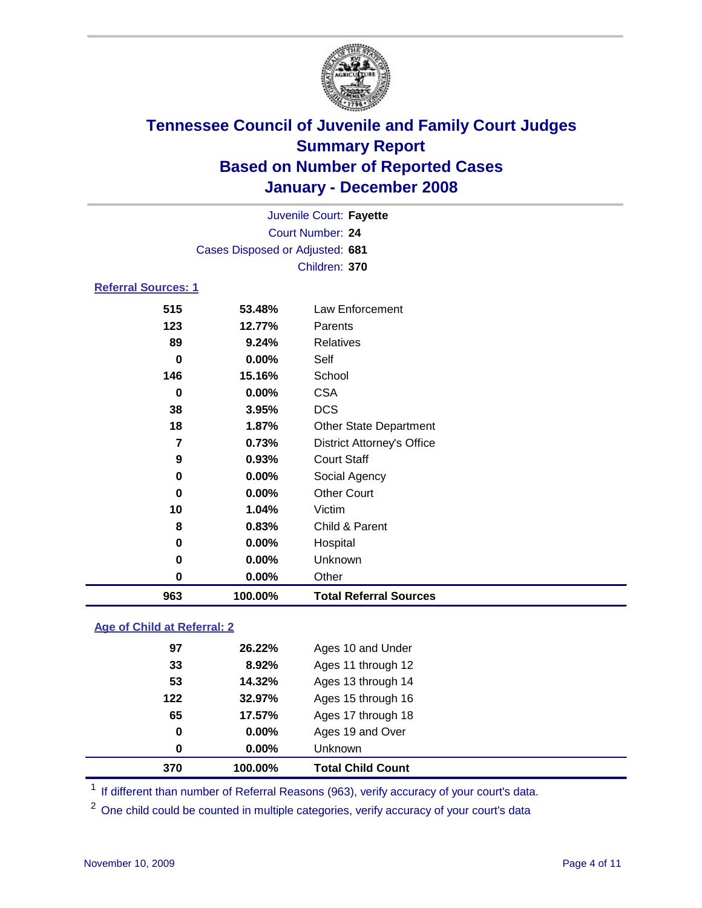

|                            |                                 | Juvenile Court: Fayette           |  |
|----------------------------|---------------------------------|-----------------------------------|--|
|                            |                                 | Court Number: 24                  |  |
|                            | Cases Disposed or Adjusted: 681 |                                   |  |
|                            |                                 | Children: 370                     |  |
| <b>Referral Sources: 1</b> |                                 |                                   |  |
| 515                        | 53.48%                          | Law Enforcement                   |  |
| 123                        | 12.77%                          | Parents                           |  |
| 89                         | 9.24%                           | <b>Relatives</b>                  |  |
| 0                          | 0.00%                           | Self                              |  |
| 146                        | 15.16%                          | School                            |  |
| 0                          | $0.00\%$                        | <b>CSA</b>                        |  |
| 38                         | 3.95%                           | <b>DCS</b>                        |  |
| 18                         | 1.87%                           | <b>Other State Department</b>     |  |
| 7                          | 0.73%                           | <b>District Attorney's Office</b> |  |

| 963      | 100.00%        | <b>Total Referral Sources</b> |
|----------|----------------|-------------------------------|
| $\bf{0}$ | 0.00%          | Other                         |
| 0        | $0.00\%$       | Unknown                       |
| 0        | 0.00%          | Hospital                      |
| 8        | 0.83%          | Child & Parent                |
| 10       | 1.04%          | Victim                        |
| 0        | 0.00%          | <b>Other Court</b>            |
| 0        | $0.00\%$       | Social Agency                 |
| 9        | 0.93%          | <b>Court Staff</b>            |
|          | <b>U.IJ</b> 70 | DISTING ALLOTTIBY SUITCH      |

### **Age of Child at Referral: 2**

| 370 | 100.00%  | <b>Total Child Count</b> |
|-----|----------|--------------------------|
| 0   | 0.00%    | Unknown                  |
| 0   | $0.00\%$ | Ages 19 and Over         |
| 65  | 17.57%   | Ages 17 through 18       |
| 122 | 32.97%   | Ages 15 through 16       |
| 53  | 14.32%   | Ages 13 through 14       |
| 33  | 8.92%    | Ages 11 through 12       |
| 97  | 26.22%   | Ages 10 and Under        |
|     |          |                          |

<sup>1</sup> If different than number of Referral Reasons (963), verify accuracy of your court's data.

<sup>2</sup> One child could be counted in multiple categories, verify accuracy of your court's data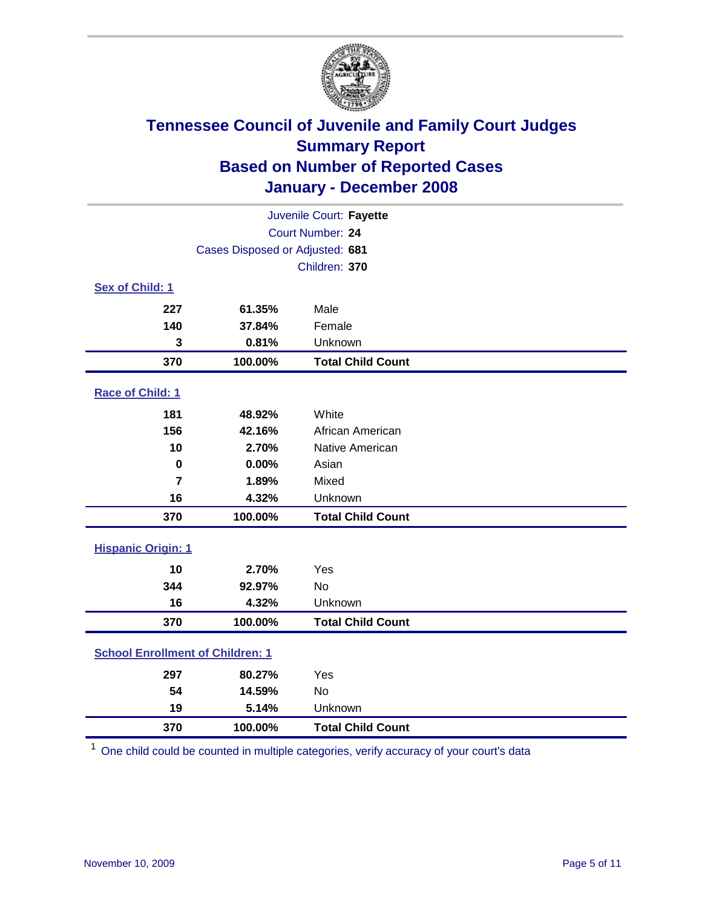

|                                         |                                 | Juvenile Court: Fayette  |  |  |
|-----------------------------------------|---------------------------------|--------------------------|--|--|
| Court Number: 24                        |                                 |                          |  |  |
|                                         | Cases Disposed or Adjusted: 681 |                          |  |  |
|                                         |                                 | Children: 370            |  |  |
| Sex of Child: 1                         |                                 |                          |  |  |
| 227                                     | 61.35%                          | Male                     |  |  |
| 140                                     | 37.84%                          | Female                   |  |  |
| 3                                       | 0.81%                           | Unknown                  |  |  |
| 370                                     | 100.00%                         | <b>Total Child Count</b> |  |  |
| <b>Race of Child: 1</b>                 |                                 |                          |  |  |
| 181                                     | 48.92%                          | White                    |  |  |
| 156                                     | 42.16%                          | African American         |  |  |
| 10                                      | 2.70%                           | Native American          |  |  |
| 0                                       | 0.00%                           | Asian                    |  |  |
| $\overline{7}$                          | 1.89%                           | Mixed                    |  |  |
| 16                                      | 4.32%                           | Unknown                  |  |  |
| 370                                     | 100.00%                         | <b>Total Child Count</b> |  |  |
| <b>Hispanic Origin: 1</b>               |                                 |                          |  |  |
| 10                                      | 2.70%                           | Yes                      |  |  |
| 344                                     | 92.97%                          | <b>No</b>                |  |  |
| 16                                      | 4.32%                           | Unknown                  |  |  |
| 370                                     | 100.00%                         | <b>Total Child Count</b> |  |  |
| <b>School Enrollment of Children: 1</b> |                                 |                          |  |  |
| 297                                     | 80.27%                          | Yes                      |  |  |
| 54                                      | 14.59%                          | <b>No</b>                |  |  |
| 19                                      | 5.14%                           | Unknown                  |  |  |
| 370                                     | 100.00%                         | <b>Total Child Count</b> |  |  |

One child could be counted in multiple categories, verify accuracy of your court's data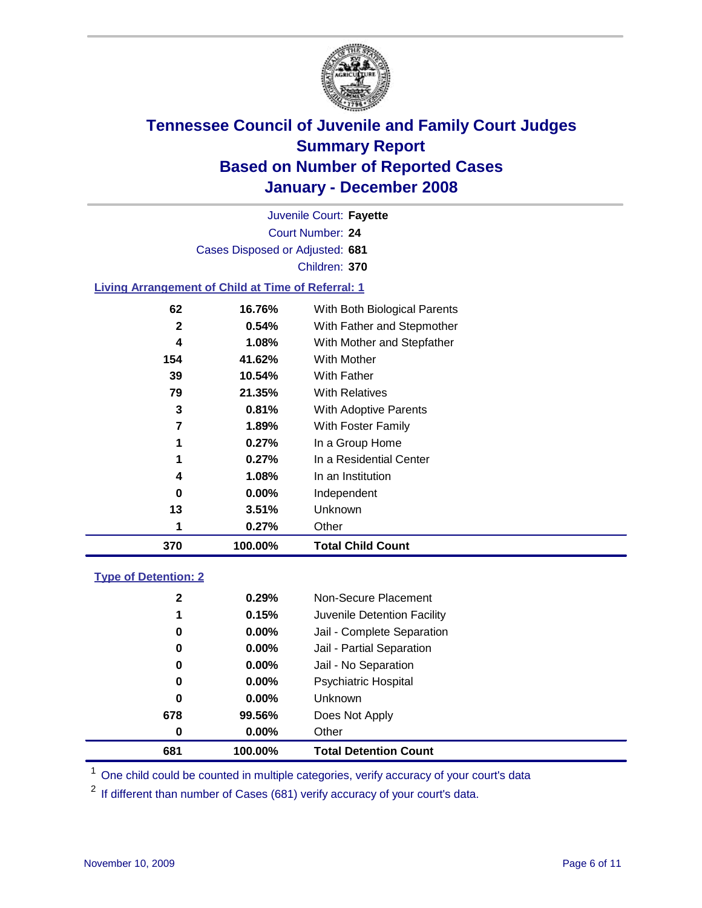

Court Number: **24** Juvenile Court: **Fayette** Cases Disposed or Adjusted: **681** Children: **370**

### **Living Arrangement of Child at Time of Referral: 1**

| 370 | 100.00%               | <b>Total Child Count</b>     |
|-----|-----------------------|------------------------------|
|     | 1<br>0.27%            | Other                        |
| 13  | 3.51%                 | Unknown                      |
|     | $0.00\%$<br>0         | Independent                  |
|     | 1.08%<br>4            | In an Institution            |
|     | 1<br>0.27%            | In a Residential Center      |
|     | 1<br>0.27%            | In a Group Home              |
|     | 7<br>1.89%            | With Foster Family           |
|     | 3<br>0.81%            | With Adoptive Parents        |
| 79  | 21.35%                | <b>With Relatives</b>        |
| 39  | 10.54%                | With Father                  |
| 154 | 41.62%                | With Mother                  |
|     | 1.08%<br>4            | With Mother and Stepfather   |
|     | $\mathbf{2}$<br>0.54% | With Father and Stepmother   |
| 62  | 16.76%                | With Both Biological Parents |
|     |                       |                              |

#### **Type of Detention: 2**

| 681          | 100.00%  | <b>Total Detention Count</b> |  |
|--------------|----------|------------------------------|--|
| 0            | 0.00%    | Other                        |  |
| 678          | 99.56%   | Does Not Apply               |  |
| 0            | $0.00\%$ | <b>Unknown</b>               |  |
| 0            | $0.00\%$ | <b>Psychiatric Hospital</b>  |  |
| 0            | 0.00%    | Jail - No Separation         |  |
| 0            | $0.00\%$ | Jail - Partial Separation    |  |
| 0            | $0.00\%$ | Jail - Complete Separation   |  |
| 1            | 0.15%    | Juvenile Detention Facility  |  |
| $\mathbf{2}$ | 0.29%    | Non-Secure Placement         |  |
|              |          |                              |  |

<sup>1</sup> One child could be counted in multiple categories, verify accuracy of your court's data

<sup>2</sup> If different than number of Cases (681) verify accuracy of your court's data.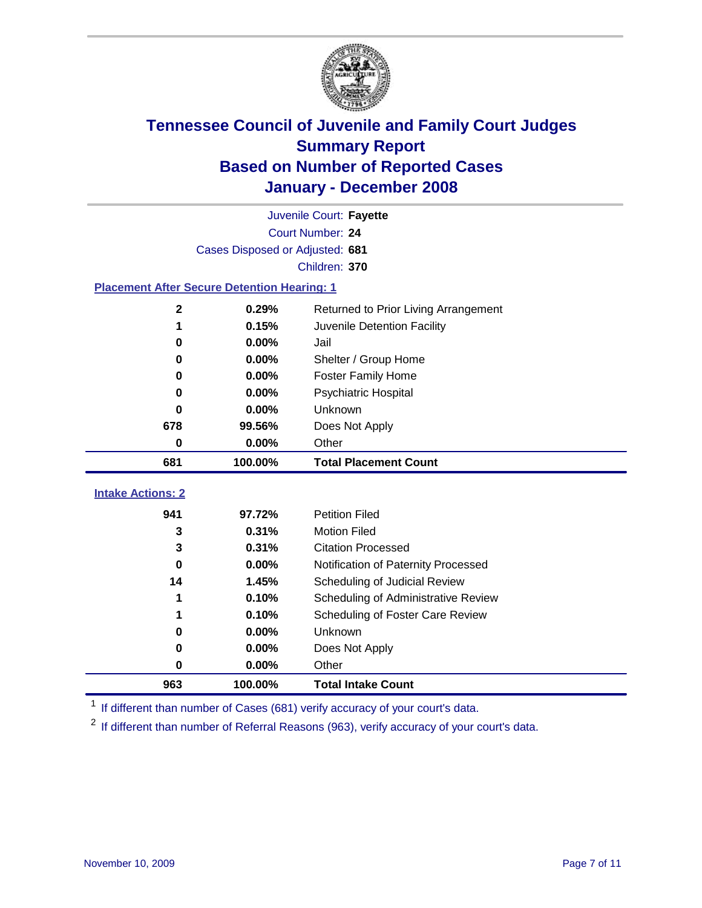

|                                                    |                                 | Juvenile Court: Fayette              |  |
|----------------------------------------------------|---------------------------------|--------------------------------------|--|
| Court Number: 24                                   |                                 |                                      |  |
|                                                    | Cases Disposed or Adjusted: 681 |                                      |  |
|                                                    |                                 | Children: 370                        |  |
| <b>Placement After Secure Detention Hearing: 1</b> |                                 |                                      |  |
| $\mathbf{2}$                                       | 0.29%                           | Returned to Prior Living Arrangement |  |
| 1                                                  | 0.15%                           | Juvenile Detention Facility          |  |
| 0                                                  | 0.00%                           | Jail                                 |  |
| 0                                                  | 0.00%                           | Shelter / Group Home                 |  |
| 0                                                  | 0.00%                           | <b>Foster Family Home</b>            |  |
| 0                                                  | 0.00%                           | Psychiatric Hospital                 |  |
| 0                                                  | 0.00%                           | Unknown                              |  |
| 678                                                | 99.56%                          | Does Not Apply                       |  |
| 0                                                  | 0.00%                           | Other                                |  |
| 681                                                | 100.00%                         | <b>Total Placement Count</b>         |  |
| <b>Intake Actions: 2</b>                           |                                 |                                      |  |
|                                                    |                                 |                                      |  |
| 941                                                | 97.72%                          | <b>Petition Filed</b>                |  |
| 3                                                  | 0.31%                           | <b>Motion Filed</b>                  |  |
| 3                                                  | 0.31%                           | <b>Citation Processed</b>            |  |
| 0                                                  | 0.00%                           | Notification of Paternity Processed  |  |
| 14                                                 | 1.45%                           | Scheduling of Judicial Review        |  |
| 1                                                  | 0.10%                           | Scheduling of Administrative Review  |  |
| 1                                                  | 0.10%                           | Scheduling of Foster Care Review     |  |
| 0                                                  | 0.00%                           | Unknown                              |  |
| 0                                                  | 0.00%                           | Does Not Apply                       |  |
| 0                                                  | 0.00%                           | Other                                |  |
| 963                                                | 100.00%                         | <b>Total Intake Count</b>            |  |

<sup>1</sup> If different than number of Cases (681) verify accuracy of your court's data.

<sup>2</sup> If different than number of Referral Reasons (963), verify accuracy of your court's data.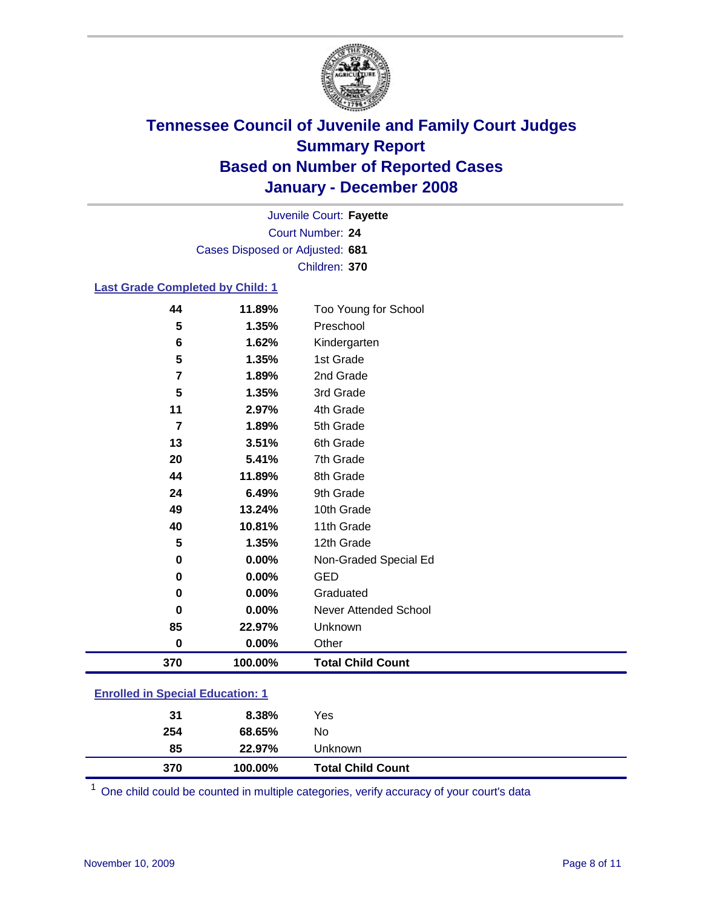

Court Number: **24** Juvenile Court: **Fayette** Cases Disposed or Adjusted: **681** Children: **370**

### **Last Grade Completed by Child: 1**

| 370                     | 100.00% | <b>Total Child Count</b> |
|-------------------------|---------|--------------------------|
| $\mathbf 0$             | 0.00%   | Other                    |
| 85                      | 22.97%  | Unknown                  |
| $\bf{0}$                | 0.00%   | Never Attended School    |
| 0                       | 0.00%   | Graduated                |
| 0                       | 0.00%   | <b>GED</b>               |
| $\pmb{0}$               | 0.00%   | Non-Graded Special Ed    |
| 5                       | 1.35%   | 12th Grade               |
| 40                      | 10.81%  | 11th Grade               |
| 49                      | 13.24%  | 10th Grade               |
| 24                      | 6.49%   | 9th Grade                |
| 44                      | 11.89%  | 8th Grade                |
| 20                      | 5.41%   | 7th Grade                |
| 13                      | 3.51%   | 6th Grade                |
| $\overline{7}$          | 1.89%   | 5th Grade                |
| 11                      | 2.97%   | 4th Grade                |
| 5                       | 1.35%   | 3rd Grade                |
| $\overline{\mathbf{r}}$ | 1.89%   | 2nd Grade                |
| 5                       | 1.35%   | 1st Grade                |
| 6                       | 1.62%   | Kindergarten             |
| 5                       | 1.35%   | Preschool                |
| 44                      | 11.89%  | Too Young for School     |

### **Enrolled in Special Education: 1**

| 370 | 100.00% | <b>Total Child Count</b> |  |
|-----|---------|--------------------------|--|
| 85  | 22.97%  | Unknown                  |  |
| 254 | 68.65%  | No                       |  |
| 31  | 8.38%   | Yes                      |  |
|     |         |                          |  |

<sup>1</sup> One child could be counted in multiple categories, verify accuracy of your court's data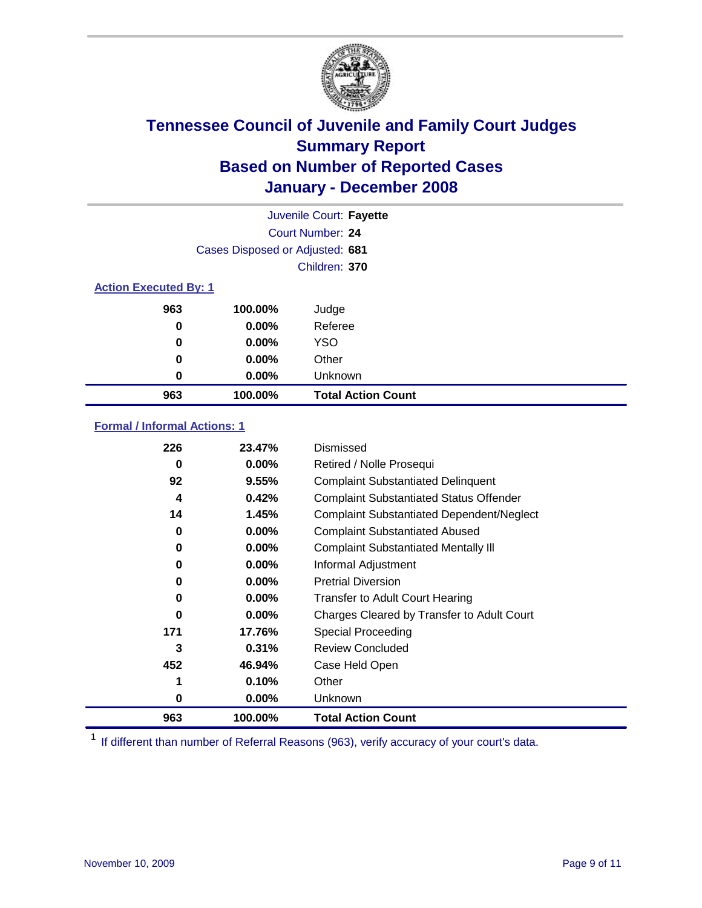

|                              |                                 | Juvenile Court: Fayette   |
|------------------------------|---------------------------------|---------------------------|
|                              |                                 | Court Number: 24          |
|                              | Cases Disposed or Adjusted: 681 |                           |
|                              |                                 | Children: 370             |
| <b>Action Executed By: 1</b> |                                 |                           |
| 963                          | 100.00%                         | Judge                     |
| 0                            | $0.00\%$                        | Referee                   |
| 0                            | $0.00\%$                        | <b>YSO</b>                |
| 0                            | $0.00\%$                        | Other                     |
| 0                            | $0.00\%$                        | Unknown                   |
| 963                          | 100.00%                         | <b>Total Action Count</b> |

### **Formal / Informal Actions: 1**

| 226      | 23.47%   | Dismissed                                        |
|----------|----------|--------------------------------------------------|
| 0        | 0.00%    | Retired / Nolle Prosequi                         |
| 92       | 9.55%    | <b>Complaint Substantiated Delinquent</b>        |
| 4        | 0.42%    | <b>Complaint Substantiated Status Offender</b>   |
| 14       | 1.45%    | <b>Complaint Substantiated Dependent/Neglect</b> |
| 0        | 0.00%    | <b>Complaint Substantiated Abused</b>            |
| 0        | 0.00%    | <b>Complaint Substantiated Mentally III</b>      |
| 0        | $0.00\%$ | Informal Adjustment                              |
| $\bf{0}$ | $0.00\%$ | <b>Pretrial Diversion</b>                        |
| 0        | $0.00\%$ | <b>Transfer to Adult Court Hearing</b>           |
| 0        | $0.00\%$ | Charges Cleared by Transfer to Adult Court       |
| 171      | 17.76%   | Special Proceeding                               |
| 3        | 0.31%    | <b>Review Concluded</b>                          |
| 452      | 46.94%   | Case Held Open                                   |
| 1        | 0.10%    | Other                                            |
| 0        | $0.00\%$ | <b>Unknown</b>                                   |
| 963      | 100.00%  | <b>Total Action Count</b>                        |

<sup>1</sup> If different than number of Referral Reasons (963), verify accuracy of your court's data.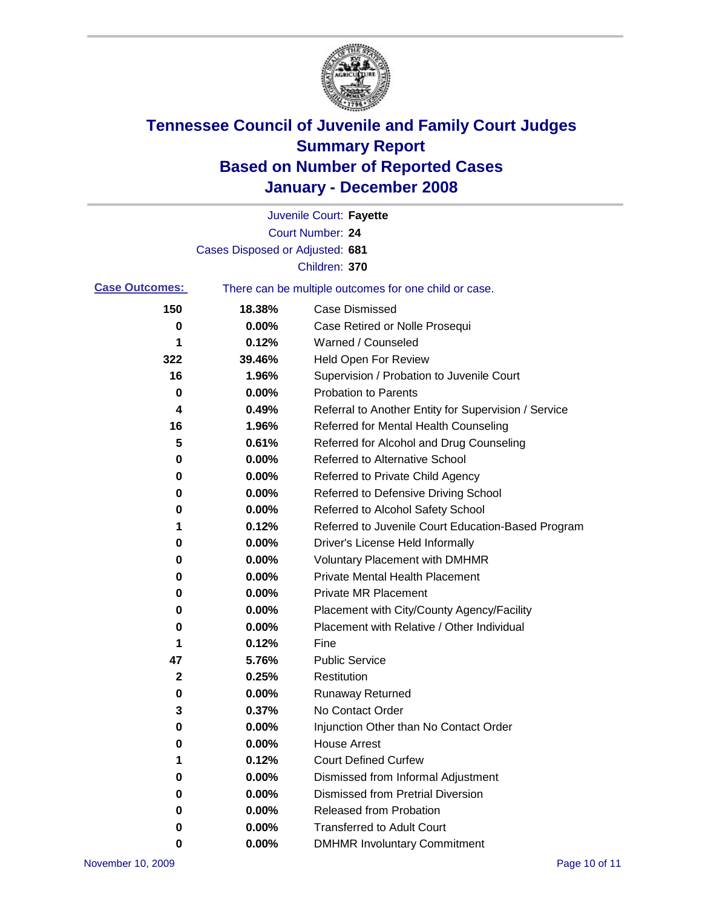

|                       |                                 | Juvenile Court: Fayette                               |
|-----------------------|---------------------------------|-------------------------------------------------------|
|                       |                                 | Court Number: 24                                      |
|                       | Cases Disposed or Adjusted: 681 |                                                       |
|                       |                                 | Children: 370                                         |
| <b>Case Outcomes:</b> |                                 | There can be multiple outcomes for one child or case. |
| 150                   | 18.38%                          | <b>Case Dismissed</b>                                 |
| 0                     | 0.00%                           | Case Retired or Nolle Prosequi                        |
| 1                     | 0.12%                           | Warned / Counseled                                    |
| 322                   | 39.46%                          | Held Open For Review                                  |
| 16                    | 1.96%                           | Supervision / Probation to Juvenile Court             |
| 0                     | 0.00%                           | <b>Probation to Parents</b>                           |
| 4                     | 0.49%                           | Referral to Another Entity for Supervision / Service  |
| 16                    | 1.96%                           | Referred for Mental Health Counseling                 |
| 5                     | 0.61%                           | Referred for Alcohol and Drug Counseling              |
| 0                     | 0.00%                           | Referred to Alternative School                        |
| 0                     | 0.00%                           | Referred to Private Child Agency                      |
| 0                     | 0.00%                           | Referred to Defensive Driving School                  |
| 0                     | 0.00%                           | Referred to Alcohol Safety School                     |
| 1                     | 0.12%                           | Referred to Juvenile Court Education-Based Program    |
| 0                     | 0.00%                           | Driver's License Held Informally                      |
| 0                     | 0.00%                           | <b>Voluntary Placement with DMHMR</b>                 |
| 0                     | 0.00%                           | <b>Private Mental Health Placement</b>                |
| 0                     | 0.00%                           | Private MR Placement                                  |
| 0                     | 0.00%                           | Placement with City/County Agency/Facility            |
| 0                     | 0.00%                           | Placement with Relative / Other Individual            |
| 1                     | 0.12%                           | Fine                                                  |
| 47                    | 5.76%                           | <b>Public Service</b>                                 |
| 2                     | 0.25%                           | Restitution                                           |
| 0                     | 0.00%                           | <b>Runaway Returned</b>                               |
| 3                     | 0.37%                           | No Contact Order                                      |
| 0                     | 0.00%                           | Injunction Other than No Contact Order                |
| 0                     | 0.00%                           | <b>House Arrest</b>                                   |
| 1                     | 0.12%                           | <b>Court Defined Curfew</b>                           |
| 0                     | 0.00%                           | Dismissed from Informal Adjustment                    |
| 0                     | 0.00%                           | <b>Dismissed from Pretrial Diversion</b>              |
| 0                     | 0.00%                           | Released from Probation                               |
| 0                     | 0.00%                           | <b>Transferred to Adult Court</b>                     |
| 0                     | 0.00%                           | <b>DMHMR Involuntary Commitment</b>                   |